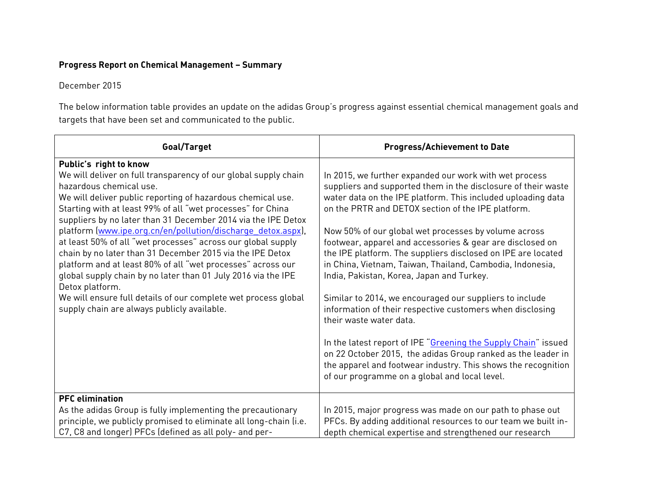## **Progress Report on Chemical Management – Summary**

## December 2015

The below information table provides an update on the adidas Group's progress against essential chemical management goals and targets that have been set and communicated to the public.

| Goal/Target                                                                                                                                                                                                                                                                                                                                                                                                                                                                                                                                                                                                                                                                                                                                                                          | <b>Progress/Achievement to Date</b>                                                                                                                                                                                                                                                                                                                                                                                                                                                                                                                                                                                                                                                             |
|--------------------------------------------------------------------------------------------------------------------------------------------------------------------------------------------------------------------------------------------------------------------------------------------------------------------------------------------------------------------------------------------------------------------------------------------------------------------------------------------------------------------------------------------------------------------------------------------------------------------------------------------------------------------------------------------------------------------------------------------------------------------------------------|-------------------------------------------------------------------------------------------------------------------------------------------------------------------------------------------------------------------------------------------------------------------------------------------------------------------------------------------------------------------------------------------------------------------------------------------------------------------------------------------------------------------------------------------------------------------------------------------------------------------------------------------------------------------------------------------------|
| Public's right to know<br>We will deliver on full transparency of our global supply chain<br>hazardous chemical use.<br>We will deliver public reporting of hazardous chemical use.<br>Starting with at least 99% of all "wet processes" for China<br>suppliers by no later than 31 December 2014 via the IPE Detox<br>platform (www.ipe.org.cn/en/pollution/discharge detox.aspx),<br>at least 50% of all "wet processes" across our global supply<br>chain by no later than 31 December 2015 via the IPE Detox<br>platform and at least 80% of all "wet processes" across our<br>global supply chain by no later than 01 July 2016 via the IPE<br>Detox platform.<br>We will ensure full details of our complete wet process global<br>supply chain are always publicly available. | In 2015, we further expanded our work with wet process<br>suppliers and supported them in the disclosure of their waste<br>water data on the IPE platform. This included uploading data<br>on the PRTR and DETOX section of the IPE platform.<br>Now 50% of our global wet processes by volume across<br>footwear, apparel and accessories & gear are disclosed on<br>the IPE platform. The suppliers disclosed on IPE are located<br>in China, Vietnam, Taiwan, Thailand, Cambodia, Indonesia,<br>India, Pakistan, Korea, Japan and Turkey.<br>Similar to 2014, we encouraged our suppliers to include<br>information of their respective customers when disclosing<br>their waste water data. |
|                                                                                                                                                                                                                                                                                                                                                                                                                                                                                                                                                                                                                                                                                                                                                                                      | In the latest report of IPE "Greening the Supply Chain" issued<br>on 22 October 2015, the adidas Group ranked as the leader in<br>the apparel and footwear industry. This shows the recognition<br>of our programme on a global and local level.                                                                                                                                                                                                                                                                                                                                                                                                                                                |
| <b>PFC</b> elimination<br>As the adidas Group is fully implementing the precautionary                                                                                                                                                                                                                                                                                                                                                                                                                                                                                                                                                                                                                                                                                                | In 2015, major progress was made on our path to phase out                                                                                                                                                                                                                                                                                                                                                                                                                                                                                                                                                                                                                                       |
| principle, we publicly promised to eliminate all long-chain (i.e.                                                                                                                                                                                                                                                                                                                                                                                                                                                                                                                                                                                                                                                                                                                    | PFCs. By adding additional resources to our team we built in-                                                                                                                                                                                                                                                                                                                                                                                                                                                                                                                                                                                                                                   |
| C7, C8 and longer) PFCs (defined as all poly- and per-                                                                                                                                                                                                                                                                                                                                                                                                                                                                                                                                                                                                                                                                                                                               | depth chemical expertise and strengthened our research                                                                                                                                                                                                                                                                                                                                                                                                                                                                                                                                                                                                                                          |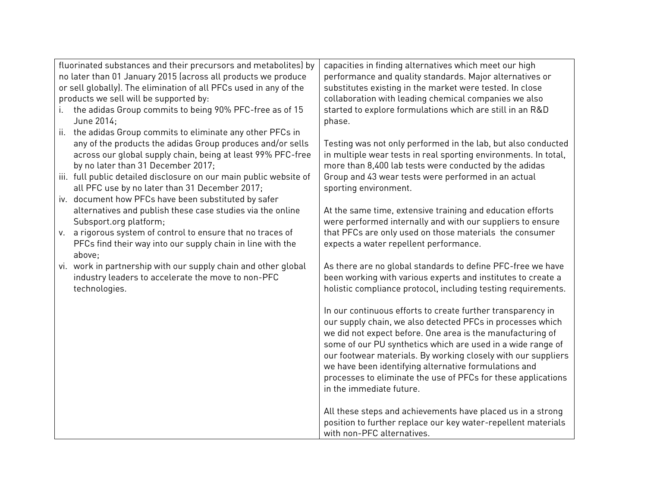|                                                                   | fluorinated substances and their precursors and metabolites) by                                                      | capacities in finding alternatives which meet our high                                                                      |
|-------------------------------------------------------------------|----------------------------------------------------------------------------------------------------------------------|-----------------------------------------------------------------------------------------------------------------------------|
| no later than 01 January 2015 (across all products we produce     |                                                                                                                      | performance and quality standards. Major alternatives or                                                                    |
| or sell globally). The elimination of all PFCs used in any of the |                                                                                                                      | substitutes existing in the market were tested. In close                                                                    |
| products we sell will be supported by:                            |                                                                                                                      | collaboration with leading chemical companies we also                                                                       |
| i.                                                                | the adidas Group commits to being 90% PFC-free as of 15                                                              | started to explore formulations which are still in an R&D                                                                   |
|                                                                   | June 2014;                                                                                                           | phase.                                                                                                                      |
| ii.                                                               | the adidas Group commits to eliminate any other PFCs in                                                              |                                                                                                                             |
|                                                                   | any of the products the adidas Group produces and/or sells                                                           | Testing was not only performed in the lab, but also conducted                                                               |
|                                                                   | across our global supply chain, being at least 99% PFC-free                                                          | in multiple wear tests in real sporting environments. In total,                                                             |
|                                                                   | by no later than 31 December 2017;                                                                                   | more than 8,400 lab tests were conducted by the adidas                                                                      |
|                                                                   | iii. full public detailed disclosure on our main public website of                                                   | Group and 43 wear tests were performed in an actual                                                                         |
|                                                                   | all PFC use by no later than 31 December 2017;                                                                       | sporting environment.                                                                                                       |
|                                                                   | iv. document how PFCs have been substituted by safer                                                                 |                                                                                                                             |
|                                                                   | alternatives and publish these case studies via the online                                                           | At the same time, extensive training and education efforts                                                                  |
|                                                                   | Subsport.org platform;                                                                                               | were performed internally and with our suppliers to ensure                                                                  |
| V.                                                                | a rigorous system of control to ensure that no traces of                                                             | that PFCs are only used on those materials the consumer                                                                     |
|                                                                   | PFCs find their way into our supply chain in line with the                                                           | expects a water repellent performance.                                                                                      |
|                                                                   | above;                                                                                                               |                                                                                                                             |
|                                                                   | vi. work in partnership with our supply chain and other global<br>industry leaders to accelerate the move to non-PFC | As there are no global standards to define PFC-free we have<br>been working with various experts and institutes to create a |
|                                                                   | technologies.                                                                                                        | holistic compliance protocol, including testing requirements.                                                               |
|                                                                   |                                                                                                                      |                                                                                                                             |
|                                                                   |                                                                                                                      | In our continuous efforts to create further transparency in                                                                 |
|                                                                   |                                                                                                                      | our supply chain, we also detected PFCs in processes which                                                                  |
|                                                                   |                                                                                                                      | we did not expect before. One area is the manufacturing of                                                                  |
|                                                                   |                                                                                                                      | some of our PU synthetics which are used in a wide range of                                                                 |
|                                                                   |                                                                                                                      | our footwear materials. By working closely with our suppliers                                                               |
|                                                                   |                                                                                                                      | we have been identifying alternative formulations and                                                                       |
|                                                                   |                                                                                                                      | processes to eliminate the use of PFCs for these applications                                                               |
|                                                                   |                                                                                                                      | in the immediate future.                                                                                                    |
|                                                                   |                                                                                                                      |                                                                                                                             |
|                                                                   |                                                                                                                      | All these steps and achievements have placed us in a strong                                                                 |
|                                                                   |                                                                                                                      | position to further replace our key water-repellent materials                                                               |
|                                                                   |                                                                                                                      | with non-PFC alternatives.                                                                                                  |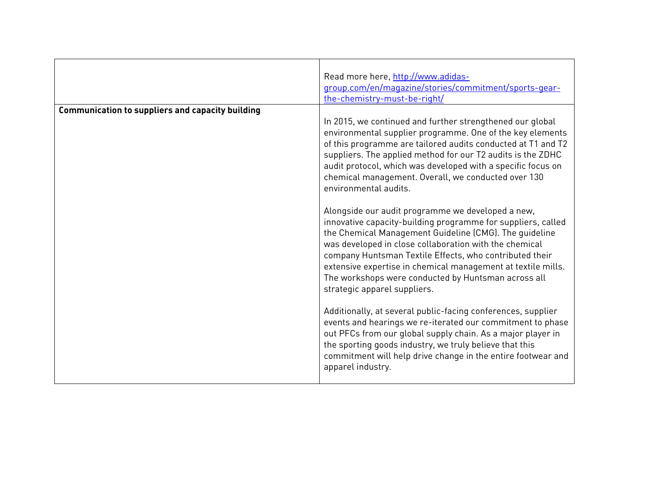|                                                         | Read more here, http://www.adidas-<br>group.com/en/magazine/stories/commitment/sports-gear-<br>the-chemistry-must-be-right/                                                                                                                                                                                                                                                                                                                             |
|---------------------------------------------------------|---------------------------------------------------------------------------------------------------------------------------------------------------------------------------------------------------------------------------------------------------------------------------------------------------------------------------------------------------------------------------------------------------------------------------------------------------------|
| <b>Communication to suppliers and capacity building</b> | In 2015, we continued and further strengthened our global<br>environmental supplier programme. One of the key elements<br>of this programme are tailored audits conducted at T1 and T2<br>suppliers. The applied method for our T2 audits is the ZDHC<br>audit protocol, which was developed with a specific focus on<br>chemical management. Overall, we conducted over 130<br>environmental audits.                                                   |
|                                                         | Alongside our audit programme we developed a new,<br>innovative capacity-building programme for suppliers, called<br>the Chemical Management Guideline (CMG). The guideline<br>was developed in close collaboration with the chemical<br>company Huntsman Textile Effects, who contributed their<br>extensive expertise in chemical management at textile mills.<br>The workshops were conducted by Huntsman across all<br>strategic apparel suppliers. |
|                                                         | Additionally, at several public-facing conferences, supplier<br>events and hearings we re-iterated our commitment to phase<br>out PFCs from our global supply chain. As a major player in<br>the sporting goods industry, we truly believe that this<br>commitment will help drive change in the entire footwear and<br>apparel industry.                                                                                                               |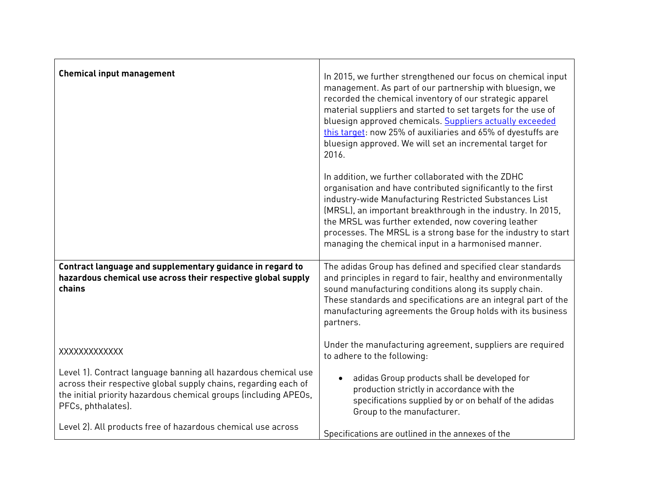| <b>Chemical input management</b>                                                                                                                                                                                            | In 2015, we further strengthened our focus on chemical input<br>management. As part of our partnership with bluesign, we<br>recorded the chemical inventory of our strategic apparel<br>material suppliers and started to set targets for the use of<br>bluesign approved chemicals. Suppliers actually exceeded<br>this target: now 25% of auxiliaries and 65% of dyestuffs are<br>bluesign approved. We will set an incremental target for<br>2016. |
|-----------------------------------------------------------------------------------------------------------------------------------------------------------------------------------------------------------------------------|-------------------------------------------------------------------------------------------------------------------------------------------------------------------------------------------------------------------------------------------------------------------------------------------------------------------------------------------------------------------------------------------------------------------------------------------------------|
|                                                                                                                                                                                                                             | In addition, we further collaborated with the ZDHC<br>organisation and have contributed significantly to the first<br>industry-wide Manufacturing Restricted Substances List<br>(MRSL), an important breakthrough in the industry. In 2015,<br>the MRSL was further extended, now covering leather<br>processes. The MRSL is a strong base for the industry to start<br>managing the chemical input in a harmonised manner.                           |
| Contract language and supplementary guidance in regard to<br>hazardous chemical use across their respective global supply<br>chains                                                                                         | The adidas Group has defined and specified clear standards<br>and principles in regard to fair, healthy and environmentally<br>sound manufacturing conditions along its supply chain.<br>These standards and specifications are an integral part of the<br>manufacturing agreements the Group holds with its business<br>partners.                                                                                                                    |
| XXXXXXXXXXXX                                                                                                                                                                                                                | Under the manufacturing agreement, suppliers are required<br>to adhere to the following:                                                                                                                                                                                                                                                                                                                                                              |
| Level 1). Contract language banning all hazardous chemical use<br>across their respective global supply chains, regarding each of<br>the initial priority hazardous chemical groups (including APEOs,<br>PFCs, phthalates). | adidas Group products shall be developed for<br>$\bullet$<br>production strictly in accordance with the<br>specifications supplied by or on behalf of the adidas<br>Group to the manufacturer.                                                                                                                                                                                                                                                        |
| Level 2). All products free of hazardous chemical use across                                                                                                                                                                | Specifications are outlined in the annexes of the                                                                                                                                                                                                                                                                                                                                                                                                     |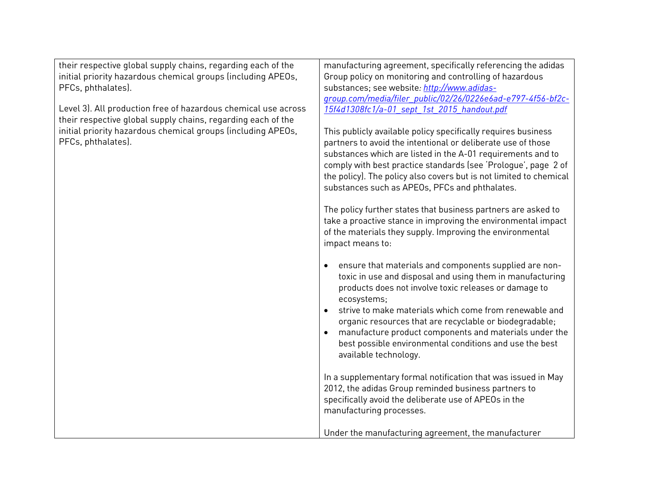| their respective global supply chains, regarding each of the   | manufacturing agreement, specifically referencing the adidas       |
|----------------------------------------------------------------|--------------------------------------------------------------------|
| initial priority hazardous chemical groups (including APEOs,   | Group policy on monitoring and controlling of hazardous            |
|                                                                |                                                                    |
| PFCs, phthalates).                                             | substances; see website: http://www.adidas-                        |
|                                                                | group.com/media/filer_public/02/26/0226e6ad-e797-4f56-bf2c-        |
| Level 3). All production free of hazardous chemical use across | 15f4d1308fc1/a-01 sept 1st 2015 handout.pdf                        |
| their respective global supply chains, regarding each of the   |                                                                    |
| initial priority hazardous chemical groups (including APEOs,   | This publicly available policy specifically requires business      |
| PFCs, phthalates).                                             | partners to avoid the intentional or deliberate use of those       |
|                                                                | substances which are listed in the A-01 requirements and to        |
|                                                                | comply with best practice standards (see 'Prologue', page 2 of     |
|                                                                | the policy). The policy also covers but is not limited to chemical |
|                                                                | substances such as APEOs, PFCs and phthalates.                     |
|                                                                |                                                                    |
|                                                                | The policy further states that business partners are asked to      |
|                                                                | take a proactive stance in improving the environmental impact      |
|                                                                | of the materials they supply. Improving the environmental          |
|                                                                | impact means to:                                                   |
|                                                                |                                                                    |
|                                                                | ensure that materials and components supplied are non-             |
|                                                                | toxic in use and disposal and using them in manufacturing          |
|                                                                | products does not involve toxic releases or damage to              |
|                                                                | ecosystems;                                                        |
|                                                                | strive to make materials which come from renewable and             |
|                                                                | organic resources that are recyclable or biodegradable;            |
|                                                                | manufacture product components and materials under the             |
|                                                                | best possible environmental conditions and use the best            |
|                                                                | available technology.                                              |
|                                                                |                                                                    |
|                                                                | In a supplementary formal notification that was issued in May      |
|                                                                | 2012, the adidas Group reminded business partners to               |
|                                                                | specifically avoid the deliberate use of APEOs in the              |
|                                                                | manufacturing processes.                                           |
|                                                                |                                                                    |
|                                                                | Under the manufacturing agreement, the manufacturer                |